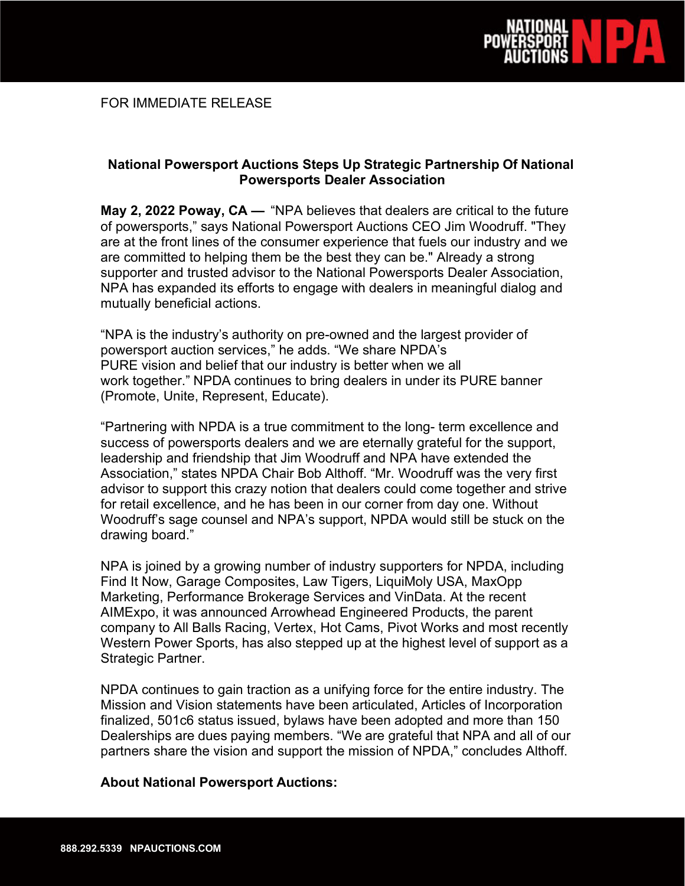

## **National Powersport Auctions Steps Up Strategic Partnership Of National Powersports Dealer Association**

**May 2, 2022 Poway, CA —** "NPA believes that dealers are critical to the future of powersports," says National Powersport Auctions CEO Jim Woodruff. "They are at the front lines of the consumer experience that fuels our industry and we are committed to helping them be the best they can be." Already a strong supporter and trusted advisor to the National Powersports Dealer Association, NPA has expanded its efforts to engage with dealers in meaningful dialog and mutually beneficial actions.

"NPA is the industry's authority on pre-owned and the largest provider of powersport auction services," he adds. "We share NPDA's PURE vision and belief that our industry is better when we all work together." NPDA continues to bring dealers in under its PURE banner (Promote, Unite, Represent, Educate).

"Partnering with NPDA is a true commitment to the long- term excellence and success of powersports dealers and we are eternally grateful for the support, leadership and friendship that Jim Woodruff and NPA have extended the Association," states NPDA Chair Bob Althoff. "Mr. Woodruff was the very first advisor to support this crazy notion that dealers could come together and strive for retail excellence, and he has been in our corner from day one. Without Woodruff's sage counsel and NPA's support, NPDA would still be stuck on the drawing board."

NPA is joined by a growing number of industry supporters for NPDA, including Find It Now, Garage Composites, Law Tigers, LiquiMoly USA, MaxOpp Marketing, Performance Brokerage Services and VinData. At the recent AIMExpo, it was announced Arrowhead Engineered Products, the parent company to All Balls Racing, Vertex, Hot Cams, Pivot Works and most recently Western Power Sports, has also stepped up at the highest level of support as a Strategic Partner.

NPDA continues to gain traction as a unifying force for the entire industry. The Mission and Vision statements have been articulated, Articles of Incorporation finalized, 501c6 status issued, bylaws have been adopted and more than 150 Dealerships are dues paying members. "We are grateful that NPA and all of our partners share the vision and support the mission of NPDA," concludes Althoff.

## **About National Powersport Auctions:**